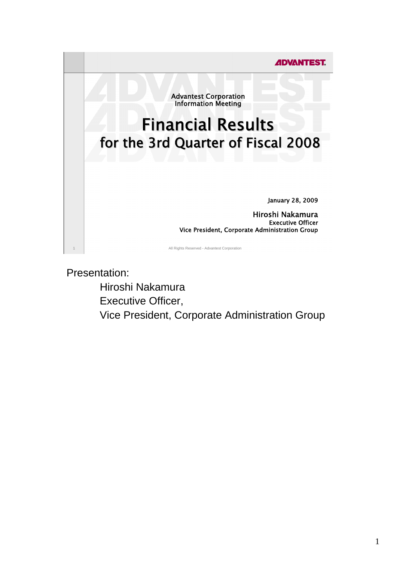

Presentation:

 Hiroshi Nakamura Executive Officer, Vice President, Corporate Administration Group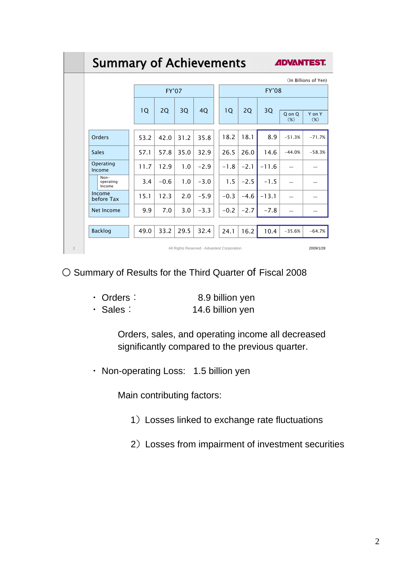|                | <b>Summary of Achievements</b>                           |              |        | <i><b>ADVANTEST.</b></i> |        |  |              |        |         |          |                      |  |
|----------------|----------------------------------------------------------|--------------|--------|--------------------------|--------|--|--------------|--------|---------|----------|----------------------|--|
|                |                                                          |              |        |                          |        |  |              |        |         |          | (In Billions of Yen) |  |
|                |                                                          | <b>FY'07</b> |        |                          |        |  | <b>FY'08</b> |        |         |          |                      |  |
|                |                                                          | 1Q           | 2Q     | 3Q                       | 4Q     |  | 10           | 2Q     | 3Q      | Q on Q   | Y on Y               |  |
|                |                                                          |              |        |                          |        |  |              |        |         | (%)      | $(\%)$               |  |
|                | Orders                                                   | 53.2         | 42.0   | 31.2                     | 35.8   |  | 18.2         | 18.1   | 8.9     | $-51.3%$ | $-71.7%$             |  |
|                | <b>Sales</b>                                             | 57.1         | 57.8   | 35.0                     | 32.9   |  | 26.5         | 26.0   | 14.6    | $-44.0%$ | $-58.3%$             |  |
|                | Operating<br>Income                                      | 11.7         | 12.9   | 1.0                      | $-2.9$ |  | $-1.8$       | $-2.1$ | $-11.6$ |          |                      |  |
|                | $Non-$<br>operating<br>Income                            | 3.4          | $-0.6$ | 1.0                      | $-3.0$ |  | 1.5          | $-2.5$ | $-1.5$  |          |                      |  |
|                | Income<br>before Tax                                     | 15.1         | 12.3   | 2.0                      | $-5.9$ |  | $-0.3$       | $-4.6$ | $-13.1$ |          |                      |  |
|                | Net Income                                               | 9.9          | 7.0    | 3.0                      | $-3.3$ |  | $-0.2$       | $-2.7$ | $-7.8$  |          |                      |  |
|                |                                                          |              |        |                          |        |  |              |        |         |          |                      |  |
|                | <b>Backlog</b>                                           | 49.0         | 33.2   | 29.5                     | 32.4   |  | 24.1         | 16.2   | 10.4    | $-35.6%$ | $-64.7%$             |  |
| $\overline{2}$ | All Rights Reserved - Advantest Corporation<br>2009/1/28 |              |        |                          |        |  |              |        |         |          |                      |  |

○ Summary of Results for the Third Quarter of Fiscal 2008

| $\cdot$ Orders : | 8.9 billion yen  |
|------------------|------------------|
| $\cdot$ Sales:   | 14.6 billion yen |

 Orders, sales, and operating income all decreased significantly compared to the previous quarter.

・ Non-operating Loss: 1.5 billion yen

Main contributing factors:

- 1)Losses linked to exchange rate fluctuations
- 2) Losses from impairment of investment securities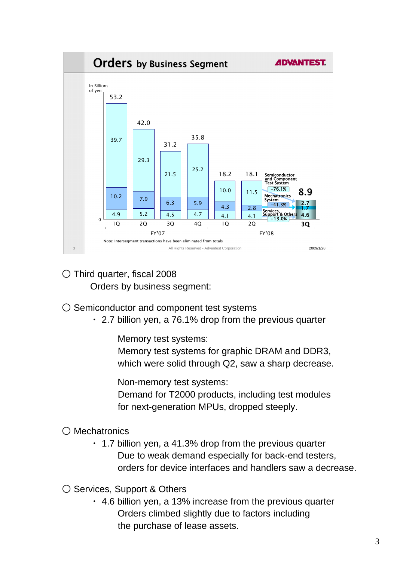

- Third quarter, fiscal 2008 Orders by business segment:
- Semiconductor and component test systems
	- ・ 2.7 billion yen, a 76.1% drop from the previous quarter

Memory test systems:

 Memory test systems for graphic DRAM and DDR3, which were solid through Q2, saw a sharp decrease.

Non-memory test systems:

 Demand for T2000 products, including test modules for next-generation MPUs, dropped steeply.

○ Mechatronics

 $\cdot$  1.7 billion yen, a 41.3% drop from the previous quarter Due to weak demand especially for back-end testers, orders for device interfaces and handlers saw a decrease.

○ Services, Support & Others

 $\cdot$  4.6 billion yen, a 13% increase from the previous quarter Orders climbed slightly due to factors including the purchase of lease assets.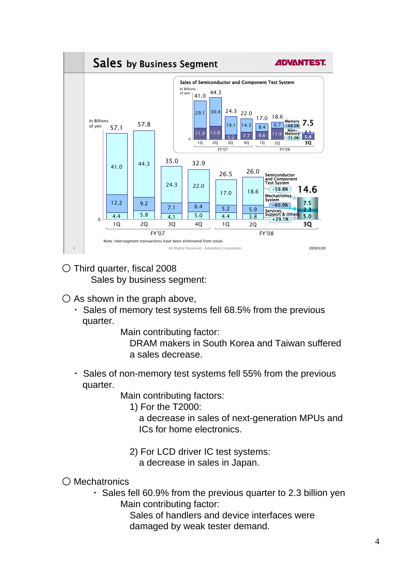

- Third quarter, fiscal 2008 Sales by business segment:
- $\bigcirc$  As shown in the graph above,
	- ・ Sales of memory test systems fell 68.5% from the previous quarter.

Main contributing factor:

 DRAM makers in South Korea and Taiwan suffered a sales decrease.

Sales of non-memory test systems fell 55% from the previous quarter.

Main contributing factors:

1) For the T2000:

 a decrease in sales of next-generation MPUs and ICs for home electronics.

2) For LCD driver IC test systems:

a decrease in sales in Japan.

○ Mechatronics

・ Sales fell 60.9% from the previous quarter to 2.3 billion yen Main contributing factor:

 Sales of handlers and device interfaces were damaged by weak tester demand.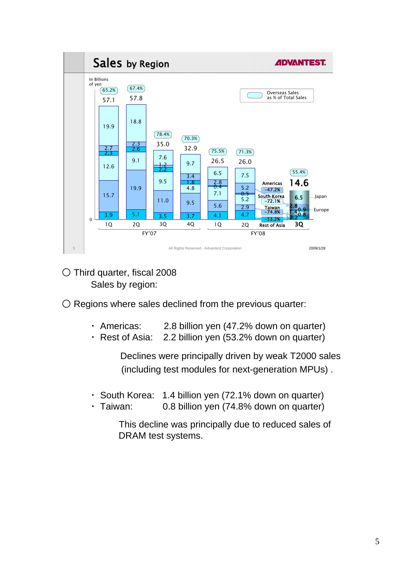

○ Third quarter, fiscal 2008 Sales by region:

 $\bigcirc$  Regions where sales declined from the previous quarter:

- ・ Americas: 2.8 billion yen (47.2% down on quarter)
- ・ Rest of Asia: 2.2 billion yen (53.2% down on quarter)

 Declines were principally driven by weak T2000 sales (including test modules for next-generation MPUs) .

- ・ South Korea: 1.4 billion yen (72.1% down on quarter)
- ・ Taiwan: 0.8 billion yen (74.8% down on quarter)

 This decline was principally due to reduced sales of DRAM test systems.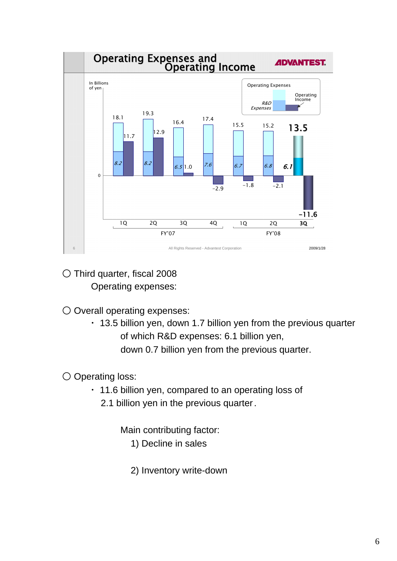

- Third quarter, fiscal 2008 Operating expenses:
- Overall operating expenses:
	- ・ 13.5 billion yen, down 1.7 billion yen from the previous quarter of which R&D expenses: 6.1 billion yen, down 0.7 billion yen from the previous quarter.

## ○ Operating loss:

- ・ 11.6 billion yen, compared to an operating loss of
	- 2.1 billion yen in the previous quarter.
		- Main contributing factor:
			- 1) Decline in sales
			- 2) Inventory write-down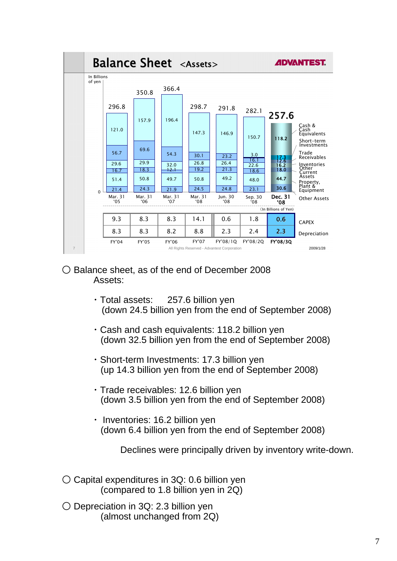

- Balance sheet, as of the end of December 2008 Assets:
	- ・Total assets: 257.6 billion yen (down 24.5 billion yen from the end of September 2008)
	- ・Cash and cash equivalents: 118.2 billion yen (down 32.5 billion yen from the end of September 2008)
	- ・Short-term Investments: 17.3 billion yen (up 14.3 billion yen from the end of September 2008)
	- ・Trade receivables: 12.6 billion yen (down 3.5 billion yen from the end of September 2008)
	- ・ Inventories: 16.2 billion yen (down 6.4 billion yen from the end of September 2008)

Declines were principally driven by inventory write-down.

- $\circ$  Capital expenditures in 3Q: 0.6 billion yen (compared to 1.8 billion yen in 2Q)
- $\bigcirc$  Depreciation in 3Q: 2.3 billion ven (almost unchanged from 2Q)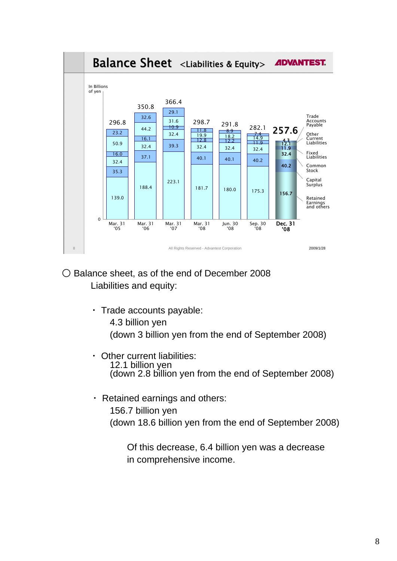

- Balance sheet, as of the end of December 2008 Liabilities and equity:
	- ・ Trade accounts payable:
		- 4.3 billion yen (down 3 billion yen from the end of September 2008)
	- ・ Other current liabilities: 12.1 billion yen (down 2.8 billion yen from the end of September 2008)
	- ・ Retained earnings and others: 156.7 billion yen (down 18.6 billion yen from the end of September 2008)

 Of this decrease, 6.4 billion yen was a decrease in comprehensive income.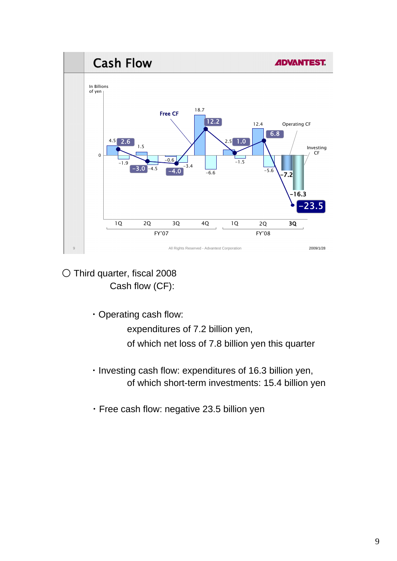

○ Third quarter, fiscal 2008 Cash flow (CF):

・Operating cash flow:

expenditures of 7.2 billion yen,

of which net loss of 7.8 billion yen this quarter

- ・Investing cash flow: expenditures of 16.3 billion yen, of which short-term investments: 15.4 billion yen
- ・Free cash flow: negative 23.5 billion yen